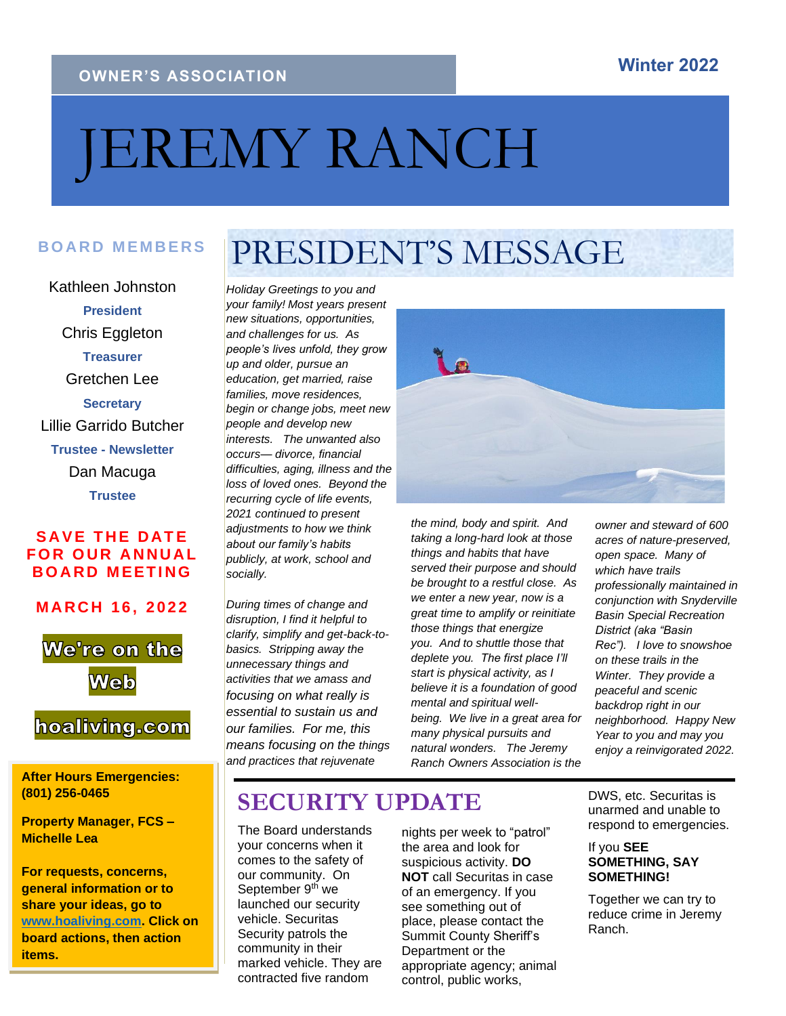#### **OWNER'S ASSOCIATION**

# JEREMY RANCH

# BOARD MEMBERS **PRESIDENT'S MESSAGE**

Kathleen Johnston **President** Chris Eggleton **Treasurer** Gretchen Lee **Secretary** Lillie Garrido Butcher **Trustee - Newsletter** Dan Macuga **Trustee**

#### **SAVE THE DATE FOR OUR ANNUAL BOARD MEETING**

**M A R C H 16, 202 2**



#### hoaliving.com

**After Hours Emergencies: (801) 256-0465**

**Property Manager, FCS – Michelle Lea**

**For requests, concerns, general information or to share your ideas, go to [www.hoaliving.com.](about:blank) Click on board actions, then action items.** 

*Holiday Greetings to you and your family! Most years present new situations, opportunities, and challenges for us. As people's lives unfold, they grow up and older, pursue an education, get married, raise families, move residences, begin or change jobs, meet new people and develop new interests. The unwanted also occurs— divorce, financial difficulties, aging, illness and the loss of loved ones. Beyond the recurring cycle of life events, 2021 continued to present adjustments to how we think about our family's habits publicly, at work, school and socially.*

*During times of change and disruption, I find it helpful to clarify, simplify and get-back-tobasics. Stripping away the unnecessary things and activities that we amass and focusing on what really is essential to sustain us and our families. For me, this means focusing on the things and practices that rejuvenate* 



*the mind, body and spirit. And taking a long-hard look at those things and habits that have served their purpose and should be brought to a restful close. As we enter a new year, now is a great time to amplify or reinitiate those things that energize you. And to shuttle those that deplete you. The first place I'll start is physical activity, as I believe it is a foundation of good mental and spiritual wellbeing. We live in a great area for many physical pursuits and natural wonders. The Jeremy Ranch Owners Association is the* 

*owner and steward of 600 acres of nature-preserved, open space. Many of which have trails professionally maintained in conjunction with Snyderville Basin Special Recreation District (aka "Basin Rec"). I love to snowshoe on these trails in the Winter. They provide a peaceful and scenic backdrop right in our neighborhood. Happy New Year to you and may you enjoy a reinvigorated 2022.*

### **SECURITY UPDATE**

The Board understands your concerns when it comes to the safety of our community. On September 9<sup>th</sup> we launched our security vehicle. Securitas Security patrols the community in their marked vehicle. They are contracted five random

nights per week to "patrol" the area and look for suspicious activity. **DO NOT** call Securitas in case of an emergency. If you see something out of place, please contact the Summit County Sheriff's Department or the appropriate agency; animal control, public works,

DWS, etc. Securitas is unarmed and unable to respond to emergencies.

#### If you **SEE SOMETHING, SAY SOMETHING!**

Together we can try to reduce crime in Jeremy Ranch.

### **Winter 2022**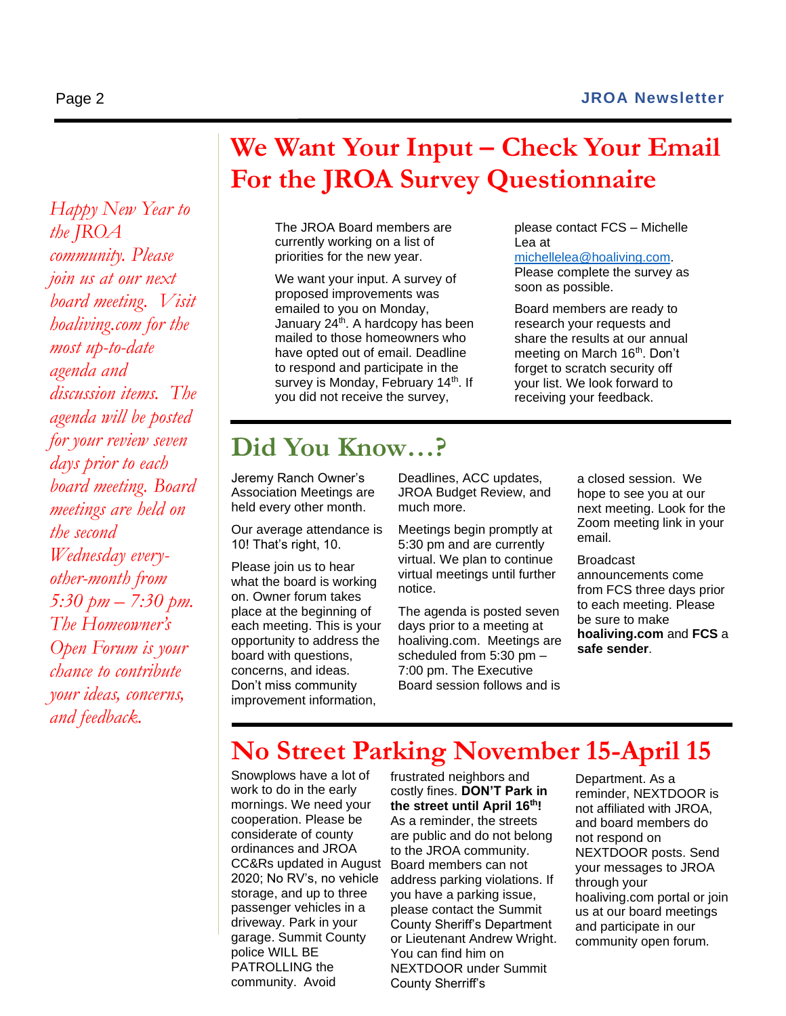#### Page 2 **JROA Newsletter**

please contact FCS – Michelle

[michellelea@hoaliving.com.](about:blank) Please complete the survey as

Board members are ready to research your requests and share the results at our annual meeting on March 16<sup>th</sup>. Don't forget to scratch security off your list. We look forward to receiving your feedback.

soon as possible.

Lea at

*Happy New Year to the JROA community. Please join us at our next board meeting. Visit hoaliving.com for the most up-to-date agenda and discussion items. The agenda will be posted for your review seven days prior to each board meeting. Board meetings are held on the second Wednesday everyother-month from 5:30 pm – 7:30 pm. The Homeowner's Open Forum is your chance to contribute your ideas, concerns, and feedback.* 

## **We Want Your Input – Check Your Email For the JROA Survey Questionnaire**

The JROA Board members are currently working on a list of priorities for the new year.

We want your input. A survey of proposed improvements was emailed to you on Monday, January 24<sup>th</sup>. A hardcopy has been mailed to those homeowners who have opted out of email. Deadline to respond and participate in the survey is Monday, February 14<sup>th</sup>. If you did not receive the survey,

### **Did You Know…?**

Jeremy Ranch Owner's Association Meetings are held every other month.

Our average attendance is 10! That's right, 10.

Please join us to hear what the board is working on. Owner forum takes place at the beginning of each meeting. This is your opportunity to address the board with questions, concerns, and ideas. Don't miss community improvement information,

Deadlines, ACC updates, JROA Budget Review, and much more.

Meetings begin promptly at 5:30 pm and are currently virtual. We plan to continue virtual meetings until further notice.

The agenda is posted seven days prior to a meeting at hoaliving.com. Meetings are scheduled from 5:30 pm – 7:00 pm. The Executive Board session follows and is

a closed session. We hope to see you at our next meeting. Look for the Zoom meeting link in your email.

Broadcast

announcements come from FCS three days prior to each meeting. Please be sure to make **hoaliving.com** and **FCS** a **safe sender**.

### **No Street Parking November 15-April 15**

Snowplows have a lot of work to do in the early mornings. We need your cooperation. Please be considerate of county ordinances and JROA CC&Rs updated in August 2020; No RV's, no vehicle storage, and up to three passenger vehicles in a driveway. Park in your garage. Summit County police WILL BE PATROLLING the community. Avoid

frustrated neighbors and costly fines. **DON'T Park in the street until April 16 th!** As a reminder, the streets are public and do not belong to the JROA community. Board members can not address parking violations. If you have a parking issue, please contact the Summit County Sheriff's Department or Lieutenant Andrew Wright. You can find him on NEXTDOOR under Summit County Sherriff's

Department. As a reminder, NEXTDOOR is not affiliated with JROA, and board members do not respond on NEXTDOOR posts. Send your messages to JROA through your hoaliving.com portal or join us at our board meetings and participate in our community open forum.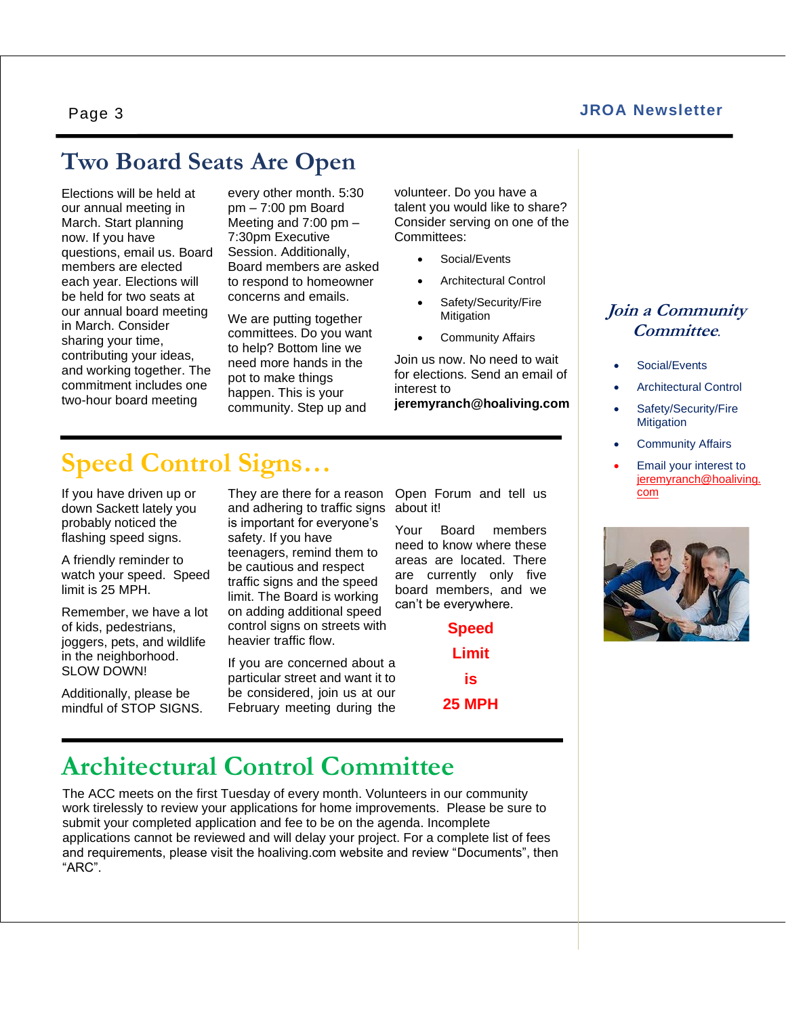#### **JROA Newsletter**

Page 3

### **Two Board Seats Are Open**

Elections will be held at our annual meeting in March. Start planning now. If you have questions, email us. Board members are elected each year. Elections will be held for two seats at our annual board meeting in March. Consider sharing your time, contributing your ideas, and working together. The commitment includes one two-hour board meeting

every other month. 5:30 pm – 7:00 pm Board Meeting and 7:00 pm – 7:30pm Executive Session. Additionally, Board members are asked to respond to homeowner concerns and emails.

We are putting together committees. Do you want to help? Bottom line we need more hands in the pot to make things happen. This is your community. Step up and

volunteer. Do you have a talent you would like to share? Consider serving on one of the Committees:

- Social/Events
- Architectural Control
- Safety/Security/Fire Mitigation
- Community Affairs

Join us now. No need to wait for elections. Send an email of interest to **jeremyranch@hoaliving.com**

### **Speed Control Signs…**

If you have driven up or down Sackett lately you probably noticed the flashing speed signs.

A friendly reminder to watch your speed. Speed limit is 25 MPH.

Remember, we have a lot of kids, pedestrians, joggers, pets, and wildlife in the neighborhood. SLOW DOWN!

Additionally, please be mindful of STOP SIGNS. They are there for a reason and adhering to traffic signs about it! is important for everyone's safety. If you have teenagers, remind them to be cautious and respect traffic signs and the speed limit. The Board is working on adding additional speed control signs on streets with heavier traffic flow.

If you are concerned about a particular street and want it to be considered, join us at our February meeting during the

Open Forum and tell us

Your Board members need to know where these areas are located. There are currently only five board members, and we can't be everywhere.

> **Speed Limit is 25 MPH**

## **Architectural Control Committee**

The ACC meets on the first Tuesday of every month. Volunteers in our community work tirelessly to review your applications for home improvements. Please be sure to submit your completed application and fee to be on the agenda. Incomplete applications cannot be reviewed and will delay your project. For a complete list of fees and requirements, please visit the hoaliving.com website and review "Documents", then "ARC".

#### **Join a Community Committee***.*

- Social/Events
- Architectural Control
- Safety/Security/Fire **Mitigation**
- Community Affairs
- Email your interest to [jeremyranch@hoaliving.](about:blank) [com](about:blank)